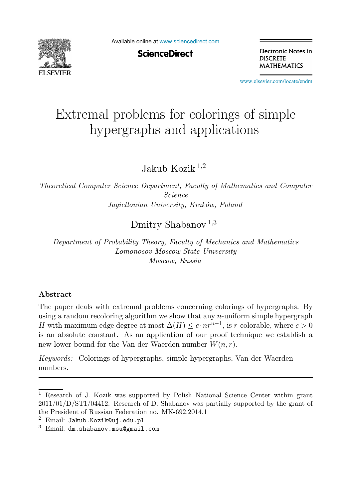

Available online at [www.sciencedirect.com](http://www.sciencedirect.com)

**ScienceDirect** 

Electronic Notes in **DISCRETE MATHEMATICS** 

[www.elsevier.com/locate/endm](http://www.elsevier.com/locate/endm)

# Extremal problems for colorings of simple hypergraphs and applications

Jakub Kozik <sup>1</sup>,<sup>2</sup>

*Theoretical Computer Science Department, Faculty of Mathematics and Computer Science Jagiellonian University, Krak´ow, Poland*

Dmitry Shabanov<sup>1,3</sup>

*Department of Probability Theory, Faculty of Mechanics and Mathematics Lomonosov Moscow State University Moscow, Russia*

#### **Abstract**

The paper deals with extremal problems concerning colorings of hypergraphs. By using a random recoloring algorithm we show that any  $n$ -uniform simple hypergraph H with maximum edge degree at most  $\Delta(H) \leq c \cdot nr^{n-1}$ , is r-colorable, where  $c > 0$ is an absolute constant. As an application of our proof technique we establish a new lower bound for the Van der Waerden number  $W(n, r)$ .

*Keywords:* Colorings of hypergraphs, simple hypergraphs, Van der Waerden numbers.

<sup>1</sup> Research of J. Kozik was supported by Polish National Science Center within grant 2011/01/D/ST1/04412. Research of D. Shabanov was partially supported by the grant of the President of Russian Federation no. MK-692.2014.1

 $2$  Email: Jakub. Kozik@uj.edu.pl

 $3$  Email: dm.shabanov.msu@gmail.com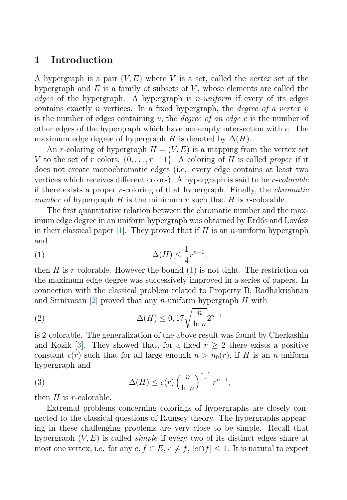# <span id="page-1-0"></span>**1 Introduction**

A hypergraph is a pair  $(V, E)$  where V is a set, called the vertex set of the hypergraph and  $E$  is a family of subsets of  $V$ , whose elements are called the edges of the hypergraph. A hypergraph is  $n\text{-}uniform$  if every of its edges contains exactly *n* vertices. In a fixed hypergraph, the *degree of a vertex v* is the number of edges containing v, the *degree of an edge e* is the number of other edges of the hypergraph which have nonempty intersection with e. The maximum edge degree of hypergraph H is denoted by  $\Delta(H)$ .

An r-coloring of hypergraph  $H = (V, E)$  is a mapping from the vertex set V to the set of r colors,  $\{0,\ldots,r-1\}$ . A coloring of H is called proper if it does not create monochromatic edges (i.e. every edge contains at least two vertices which receives different colors). A hypergraph is said to be r-colorable if there exists a proper r-coloring of that hypergraph. Finally, the chromatic number of hypergraph H is the minimum r such that H is r-colorable.

The first quantitative relation between the chromatic number and the maximum edge degree in an uniform hypergraph was obtained by Erdős and Lovász in their classical paper [\[1\]](#page-4-0). They proved that if  $H$  is an *n*-uniform hypergraph and

$$
\Delta(H) \le \frac{1}{4}r^{n-1},
$$

then H is r-colorable. However the bound  $(1)$  is not tight. The restriction on the maximum edge degree was successively improved in a series of papers. In connection with the classical problem related to Property B, Radhakrishnan and Srinivasan |2| proved that any *n*-uniform hypergraph  $H$  with

(2) 
$$
\Delta(H) \leq 0, 17\sqrt{\frac{n}{\ln n}} 2^{n-1}
$$

is 2-colorable. The generalization of the above result was found by Cherkashin and Kozik [\[3\]](#page-4-0). They showed that, for a fixed  $r > 2$  there exists a positive constant  $c(r)$  such that for all large enough  $n>n_0(r)$ , if H is an n-uniform hypergraph and

(3) 
$$
\Delta(H) \le c(r) \left(\frac{n}{\ln n}\right)^{\frac{r-1}{r}} r^{n-1},
$$

then  $H$  is r-colorable.

Extremal problems concerning colorings of hypergraphs are closely connected to the classical questions of Ramsey theory. The hypergraphs appearing in these challenging problems are very close to be simple. Recall that hypergraph  $(V, E)$  is called *simple* if every two of its distinct edges share at most one vertex, i.e. for any  $e, f \in E$ ,  $e \neq f$ ,  $|e \cap f| \leq 1$ . It is natural to expect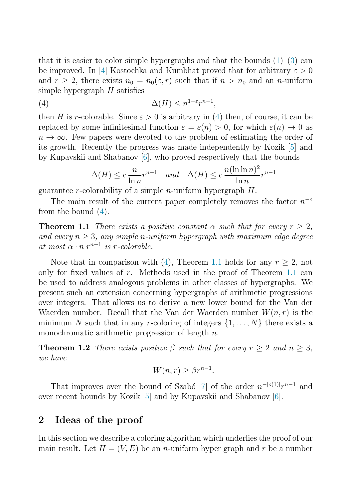that it is easier to color simple hypergraphs and that the bounds  $(1)$ – $(3)$  can be improved. In [\[4\]](#page-4-0) Kostochka and Kumbhat proved that for arbitrary  $\varepsilon > 0$ and  $r \geq 2$ , there exists  $n_0 = n_0(\varepsilon, r)$  such that if  $n > n_0$  and an *n*-uniform simple hypergraph  $H$  satisfies

(4) 
$$
\Delta(H) \leq n^{1-\varepsilon} r^{n-1},
$$

then H is r-colorable. Since  $\varepsilon > 0$  is arbitrary in (4) then, of course, it can be replaced by some infinitesimal function  $\varepsilon = \varepsilon(n) > 0$ , for which  $\varepsilon(n) \to 0$  as  $n \to \infty$ . Few papers were devoted to the problem of estimating the order of its growth. Recently the progress was made independently by Kozik [\[5\]](#page-4-0) and by Kupavskii and Shabanov [\[6\]](#page-4-0), who proved respectively that the bounds

$$
\Delta(H) \le c \frac{n}{\ln n} r^{n-1} \quad and \quad \Delta(H) \le c \frac{n(\ln \ln n)^2}{\ln n} r^{n-1}
$$

guarantee r-colorability of a simple *n*-uniform hypergraph  $H$ .

The main result of the current paper completely removes the factor  $n^{-\varepsilon}$ from the bound  $(4)$ .

**Theorem 1.1** There exists a positive constant  $\alpha$  such that for every  $r > 2$ , and every  $n \geq 3$ , any simple n-uniform hypergraph with maximum edge degree at most  $\alpha \cdot n$   $r^{n-1}$  is r-colorable.

Note that in comparison with (4), Theorem 1.1 holds for any  $r \geq 2$ , not only for fixed values of  $r$ . Methods used in the proof of Theorem 1.1 can be used to address analogous problems in other classes of hypergraphs. We present such an extension concerning hypergraphs of arithmetic progressions over integers. That allows us to derive a new lower bound for the Van der Waerden number. Recall that the Van der Waerden number  $W(n,r)$  is the minimum N such that in any r-coloring of integers  $\{1,\ldots,N\}$  there exists a monochromatic arithmetic progression of length  $n$ .

**Theorem 1.2** There exists positive  $\beta$  such that for every  $r \geq 2$  and  $n \geq 3$ , we have

$$
W(n,r) \ge \beta r^{n-1}.
$$

That improves over the bound of Szabó [\[7\]](#page-4-0) of the order  $n^{-|o(1)|}r^{n-1}$  and over recent bounds by Kozik [\[5\]](#page-4-0) and by Kupavskii and Shabanov [\[6\]](#page-4-0).

## **2 Ideas of the proof**

In this section we describe a coloring algorithm which underlies the proof of our main result. Let  $H = (V, E)$  be an *n*-uniform hyper graph and r be a number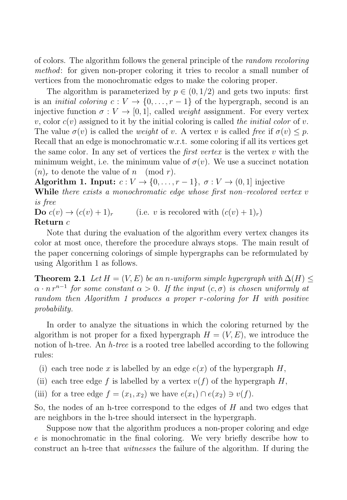of colors. The algorithm follows the general principle of the random recoloring method: for given non-proper coloring it tries to recolor a small number of vertices from the monochromatic edges to make the coloring proper.

The algorithm is parameterized by  $p \in (0, 1/2)$  and gets two inputs: first is an *initial coloring*  $c: V \to \{0, \ldots, r-1\}$  of the hypergraph, second is an injective function  $\sigma: V \to [0, 1]$ , called *weight* assignment. For every vertex v, color  $c(v)$  assigned to it by the initial coloring is called the *initial color* of v. The value  $\sigma(v)$  is called the *weight* of v. A vertex v is called free if  $\sigma(v) \leq p$ . Recall that an edge is monochromatic w.r.t. some coloring if all its vertices get the same color. In any set of vertices the *first vertex* is the vertex  $v$  with the minimum weight, i.e. the minimum value of  $\sigma(v)$ . We use a succinct notation  $(n)_r$  to denote the value of n (mod r).

**Algorithm 1. Input:**  $c: V \to \{0, \ldots, r-1\}, \sigma: V \to (0, 1]$  injective **While** there exists a monochromatic edge whose first non–recolored vertex v is free

**Do**  $c(v) \rightarrow (c(v) + 1)_r$  (i.e. v is recolored with  $(c(v) + 1)_r$ ) **Return** c

Note that during the evaluation of the algorithm every vertex changes its color at most once, therefore the procedure always stops. The main result of the paper concerning colorings of simple hypergraphs can be reformulated by using Algorithm 1 as follows.

**Theorem 2.1** Let  $H = (V, E)$  be an n-uniform simple hypergraph with  $\Delta(H)$  <  $\alpha \cdot n r^{n-1}$  for some constant  $\alpha > 0$ . If the input  $(c, \sigma)$  is chosen uniformly at random then Algorithm 1 produces a proper r-coloring for H with positive probability.

In order to analyze the situations in which the coloring returned by the algorithm is not proper for a fixed hypergraph  $H = (V, E)$ , we introduce the notion of h-tree. An  $h$ -tree is a rooted tree labelled according to the following rules:

- (i) each tree node x is labelled by an edge  $e(x)$  of the hypergraph H,
- (ii) each tree edge f is labelled by a vertex  $v(f)$  of the hypergraph H,
- (iii) for a tree edge  $f = (x_1, x_2)$  we have  $e(x_1) \cap e(x_2) \ni v(f)$ .

So, the nodes of an h-tree correspond to the edges of  $H$  and two edges that are neighbors in the h-tree should intersect in the hypergraph.

Suppose now that the algorithm produces a non-proper coloring and edge e is monochromatic in the final coloring. We very briefly describe how to construct an h-tree that witnesses the failure of the algorithm. If during the